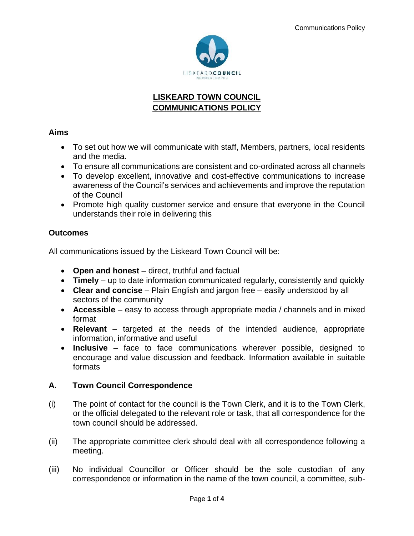

# **LISKEARD TOWN COUNCIL COMMUNICATIONS POLICY**

## **Aims**

- To set out how we will communicate with staff, Members, partners, local residents and the media.
- To ensure all communications are consistent and co-ordinated across all channels
- To develop excellent, innovative and cost-effective communications to increase awareness of the Council's services and achievements and improve the reputation of the Council
- Promote high quality customer service and ensure that everyone in the Council understands their role in delivering this

# **Outcomes**

All communications issued by the Liskeard Town Council will be:

- **Open and honest**  direct, truthful and factual
- **Timely** up to date information communicated regularly, consistently and quickly
- **Clear and concise** Plain English and jargon free easily understood by all sectors of the community
- **Accessible**  easy to access through appropriate media / channels and in mixed format
- **Relevant**  targeted at the needs of the intended audience, appropriate information, informative and useful
- **Inclusive**  face to face communications wherever possible, designed to encourage and value discussion and feedback. Information available in suitable formats

# **A. Town Council Correspondence**

- (i) The point of contact for the council is the Town Clerk, and it is to the Town Clerk, or the official delegated to the relevant role or task, that all correspondence for the town council should be addressed.
- (ii) The appropriate committee clerk should deal with all correspondence following a meeting.
- (iii) No individual Councillor or Officer should be the sole custodian of any correspondence or information in the name of the town council, a committee, sub-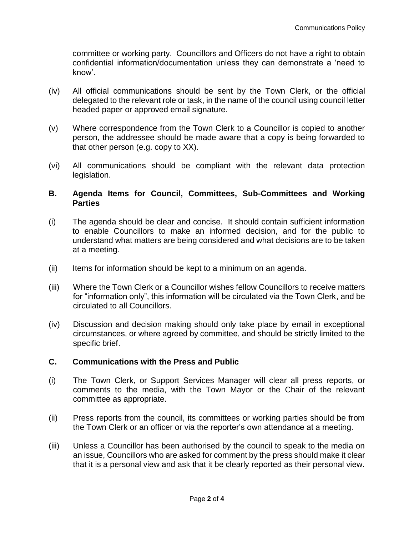committee or working party. Councillors and Officers do not have a right to obtain confidential information/documentation unless they can demonstrate a 'need to know'.

- (iv) All official communications should be sent by the Town Clerk, or the official delegated to the relevant role or task, in the name of the council using council letter headed paper or approved email signature.
- (v) Where correspondence from the Town Clerk to a Councillor is copied to another person, the addressee should be made aware that a copy is being forwarded to that other person (e.g. copy to XX).
- (vi) All communications should be compliant with the relevant data protection legislation.

### **B. Agenda Items for Council, Committees, Sub-Committees and Working Parties**

- (i) The agenda should be clear and concise. It should contain sufficient information to enable Councillors to make an informed decision, and for the public to understand what matters are being considered and what decisions are to be taken at a meeting.
- (ii) Items for information should be kept to a minimum on an agenda.
- (iii) Where the Town Clerk or a Councillor wishes fellow Councillors to receive matters for "information only", this information will be circulated via the Town Clerk, and be circulated to all Councillors.
- (iv) Discussion and decision making should only take place by email in exceptional circumstances, or where agreed by committee, and should be strictly limited to the specific brief.

#### **C. Communications with the Press and Public**

- (i) The Town Clerk, or Support Services Manager will clear all press reports, or comments to the media, with the Town Mayor or the Chair of the relevant committee as appropriate.
- (ii) Press reports from the council, its committees or working parties should be from the Town Clerk or an officer or via the reporter's own attendance at a meeting.
- (iii) Unless a Councillor has been authorised by the council to speak to the media on an issue, Councillors who are asked for comment by the press should make it clear that it is a personal view and ask that it be clearly reported as their personal view.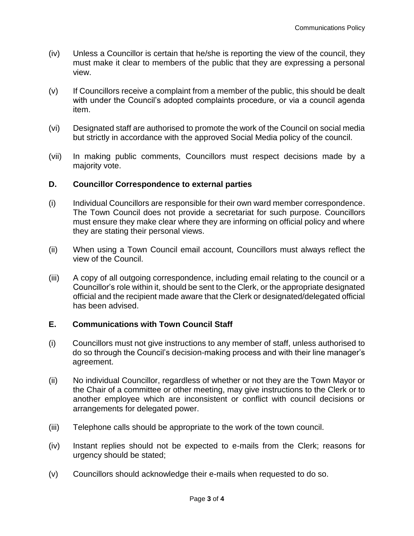- (iv) Unless a Councillor is certain that he/she is reporting the view of the council, they must make it clear to members of the public that they are expressing a personal view.
- (v) If Councillors receive a complaint from a member of the public, this should be dealt with under the Council's adopted complaints procedure, or via a council agenda item.
- (vi) Designated staff are authorised to promote the work of the Council on social media but strictly in accordance with the approved Social Media policy of the council.
- (vii) In making public comments, Councillors must respect decisions made by a majority vote.

#### **D. Councillor Correspondence to external parties**

- (i) Individual Councillors are responsible for their own ward member correspondence. The Town Council does not provide a secretariat for such purpose. Councillors must ensure they make clear where they are informing on official policy and where they are stating their personal views.
- (ii) When using a Town Council email account, Councillors must always reflect the view of the Council.
- (iii) A copy of all outgoing correspondence, including email relating to the council or a Councillor's role within it, should be sent to the Clerk, or the appropriate designated official and the recipient made aware that the Clerk or designated/delegated official has been advised.

### **E. Communications with Town Council Staff**

- (i) Councillors must not give instructions to any member of staff, unless authorised to do so through the Council's decision-making process and with their line manager's agreement.
- (ii) No individual Councillor, regardless of whether or not they are the Town Mayor or the Chair of a committee or other meeting, may give instructions to the Clerk or to another employee which are inconsistent or conflict with council decisions or arrangements for delegated power.
- (iii) Telephone calls should be appropriate to the work of the town council.
- (iv) Instant replies should not be expected to e-mails from the Clerk; reasons for urgency should be stated;
- (v) Councillors should acknowledge their e-mails when requested to do so.